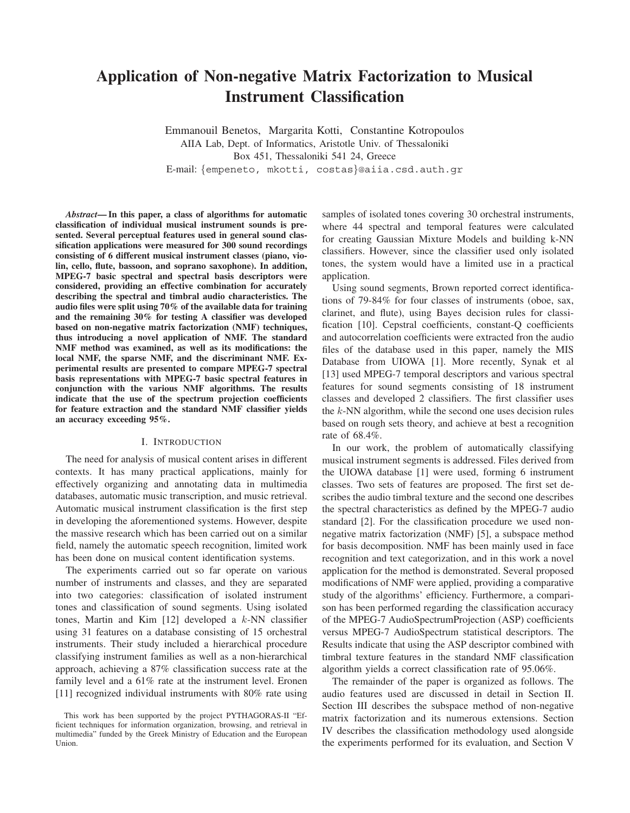# **Application of Non-negative Matrix Factorization to Musical Instrument Classification**

Emmanouil Benetos, Margarita Kotti, Constantine Kotropoulos AIIA Lab, Dept. of Informatics, Aristotle Univ. of Thessaloniki Box 451, Thessaloniki 541 24, Greece E-mail: {empeneto, mkotti, costas}@aiia.csd.auth.gr

*Abstract***— In this paper, a class of algorithms for automatic classification of individual musical instrument sounds is presented. Several perceptual features used in general sound classification applications were measured for 300 sound recordings consisting of 6 different musical instrument classes (piano, violin, cello, flute, bassoon, and soprano saxophone). In addition, MPEG-7 basic spectral and spectral basis descriptors were considered, providing an effective combination for accurately describing the spectral and timbral audio characteristics. The audio files were split using 70% of the available data for training and the remaining 30% for testing A classifier was developed based on non-negative matrix factorization (NMF) techniques, thus introducing a novel application of NMF. The standard NMF method was examined, as well as its modifications: the local NMF, the sparse NMF, and the discriminant NMF. Experimental results are presented to compare MPEG-7 spectral basis representations with MPEG-7 basic spectral features in conjunction with the various NMF algorithms. The results indicate that the use of the spectrum projection coefficients for feature extraction and the standard NMF classifier yields an accuracy exceeding 95%.**

# I. INTRODUCTION

The need for analysis of musical content arises in different contexts. It has many practical applications, mainly for effectively organizing and annotating data in multimedia databases, automatic music transcription, and music retrieval. Automatic musical instrument classification is the first step in developing the aforementioned systems. However, despite the massive research which has been carried out on a similar field, namely the automatic speech recognition, limited work has been done on musical content identification systems.

The experiments carried out so far operate on various number of instruments and classes, and they are separated into two categories: classification of isolated instrument tones and classification of sound segments. Using isolated tones, Martin and Kim [12] developed a k-NN classifier using 31 features on a database consisting of 15 orchestral instruments. Their study included a hierarchical procedure classifying instrument families as well as a non-hierarchical approach, achieving a 87% classification success rate at the family level and a 61% rate at the instrument level. Eronen [11] recognized individual instruments with 80% rate using samples of isolated tones covering 30 orchestral instruments, where 44 spectral and temporal features were calculated for creating Gaussian Mixture Models and building k-NN classifiers. However, since the classifier used only isolated tones, the system would have a limited use in a practical application.

Using sound segments, Brown reported correct identifications of 79-84% for four classes of instruments (oboe, sax, clarinet, and flute), using Bayes decision rules for classification [10]. Cepstral coefficients, constant-Q coefficients and autocorrelation coefficients were extracted fron the audio files of the database used in this paper, namely the MIS Database from UIOWA [1]. More recently, Synak et al [13] used MPEG-7 temporal descriptors and various spectral features for sound segments consisting of 18 instrument classes and developed 2 classifiers. The first classifier uses the  $k$ -NN algorithm, while the second one uses decision rules based on rough sets theory, and achieve at best a recognition rate of 68.4%.

In our work, the problem of automatically classifying musical instrument segments is addressed. Files derived from the UIOWA database [1] were used, forming 6 instrument classes. Two sets of features are proposed. The first set describes the audio timbral texture and the second one describes the spectral characteristics as defined by the MPEG-7 audio standard [2]. For the classification procedure we used nonnegative matrix factorization (NMF) [5], a subspace method for basis decomposition. NMF has been mainly used in face recognition and text categorization, and in this work a novel application for the method is demonstrated. Several proposed modifications of NMF were applied, providing a comparative study of the algorithms' efficiency. Furthermore, a comparison has been performed regarding the classification accuracy of the MPEG-7 AudioSpectrumProjection (ASP) coefficients versus MPEG-7 AudioSpectrum statistical descriptors. The Results indicate that using the ASP descriptor combined with timbral texture features in the standard NMF classification algorithm yields a correct classification rate of 95.06%.

The remainder of the paper is organized as follows. The audio features used are discussed in detail in Section II. Section III describes the subspace method of non-negative matrix factorization and its numerous extensions. Section IV describes the classification methodology used alongside the experiments performed for its evaluation, and Section V

This work has been supported by the project PYTHAGORAS-II "Efficient techniques for information organization, browsing, and retrieval in multimedia" funded by the Greek Ministry of Education and the European Union.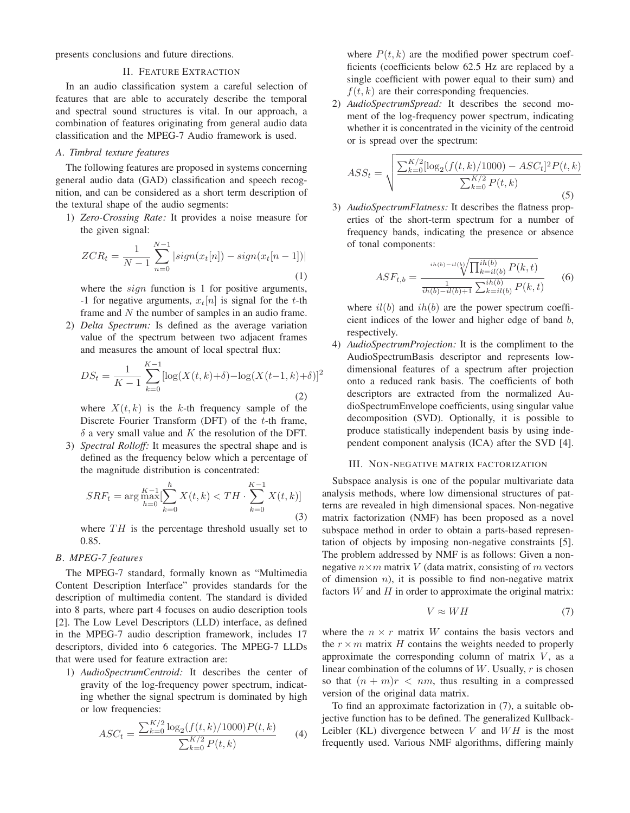presents conclusions and future directions.

# II. FEATURE EXTRACTION

In an audio classification system a careful selection of features that are able to accurately describe the temporal and spectral sound structures is vital. In our approach, a combination of features originating from general audio data classification and the MPEG-7 Audio framework is used.

# *A. Timbral texture features*

The following features are proposed in systems concerning general audio data (GAD) classification and speech recognition, and can be considered as a short term description of the textural shape of the audio segments:

1) *Zero-Crossing Rate:* It provides a noise measure for the given signal:

$$
ZCR_t = \frac{1}{N-1} \sum_{n=0}^{N-1} |sign(x_t[n]) - sign(x_t[n-1])|
$$
\n(1)

where the *sign* function is 1 for positive arguments, -1 for negative arguments,  $x_t[n]$  is signal for the t-th frame and N the number of samples in an audio frame.

2) *Delta Spectrum:* Is defined as the average variation value of the spectrum between two adjacent frames and measures the amount of local spectral flux:

$$
DS_t = \frac{1}{K-1} \sum_{k=0}^{K-1} [\log(X(t, k) + \delta) - \log(X(t-1, k) + \delta)]^2
$$
\n(2)

where  $X(t, k)$  is the k-th frequency sample of the Discrete Fourier Transform (DFT) of the t-th frame,  $\delta$  a very small value and K the resolution of the DFT.

3) *Spectral Rolloff:* It measures the spectral shape and is defined as the frequency below which a percentage of the magnitude distribution is concentrated:

$$
SRF_t = \arg \max_{h=0}^{K-1} [\sum_{k=0}^{h} X(t, k) < TH \cdot \sum_{k=0}^{K-1} X(t, k)] \tag{3}
$$

where  $TH$  is the percentage threshold usually set to 0.85.

## *B. MPEG-7 features*

The MPEG-7 standard, formally known as "Multimedia Content Description Interface" provides standards for the description of multimedia content. The standard is divided into 8 parts, where part 4 focuses on audio description tools [2]. The Low Level Descriptors (LLD) interface, as defined in the MPEG-7 audio description framework, includes 17 descriptors, divided into 6 categories. The MPEG-7 LLDs that were used for feature extraction are:

1) *AudioSpectrumCentroid:* It describes the center of gravity of the log-frequency power spectrum, indicating whether the signal spectrum is dominated by high or low frequencies:

$$
ASC_t = \frac{\sum_{k=0}^{K/2} \log_2(f(t, k)/1000) P(t, k)}{\sum_{k=0}^{K/2} P(t, k)}
$$
(4)

where  $P(t, k)$  are the modified power spectrum coefficients (coefficients below 62.5 Hz are replaced by a single coefficient with power equal to their sum) and  $f(t, k)$  are their corresponding frequencies.

2) *AudioSpectrumSpread:* It describes the second moment of the log-frequency power spectrum, indicating whether it is concentrated in the vicinity of the centroid or is spread over the spectrum:

$$
ASS_t = \sqrt{\frac{\sum_{k=0}^{K/2} [\log_2(f(t,k)/1000) - ASC_t]^2 P(t,k)}{\sum_{k=0}^{K/2} P(t,k)}}
$$
(5)

3) *AudioSpectrumFlatness:* It describes the flatness properties of the short-term spectrum for a number of frequency bands, indicating the presence or absence of tonal components:

$$
ASF_{t,b} = \frac{\sqrt[ih(b) - i(l(b))} \sqrt[ih(b)] \over \frac{1}{ih(b) - i(l(b) + 1)} \sum_{k=i(l(b)}^{ih(b)} P(k, t)} \tag{6}
$$

where  $il(b)$  and  $ih(b)$  are the power spectrum coefficient indices of the lower and higher edge of band b, respectively.

4) *AudioSpectrumProjection:* It is the compliment to the AudioSpectrumBasis descriptor and represents lowdimensional features of a spectrum after projection onto a reduced rank basis. The coefficients of both descriptors are extracted from the normalized AudioSpectrumEnvelope coefficients, using singular value decomposition (SVD). Optionally, it is possible to produce statistically independent basis by using independent component analysis (ICA) after the SVD [4].

## III. NON-NEGATIVE MATRIX FACTORIZATION

Subspace analysis is one of the popular multivariate data analysis methods, where low dimensional structures of patterns are revealed in high dimensional spaces. Non-negative matrix factorization (NMF) has been proposed as a novel subspace method in order to obtain a parts-based representation of objects by imposing non-negative constraints [5]. The problem addressed by NMF is as follows: Given a nonnegative  $n \times m$  matrix V (data matrix, consisting of m vectors of dimension  $n$ ), it is possible to find non-negative matrix factors  $W$  and  $H$  in order to approximate the original matrix:

$$
V \approx WH \tag{7}
$$

where the  $n \times r$  matrix W contains the basis vectors and the  $r \times m$  matrix H contains the weights needed to properly approximate the corresponding column of matrix  $V$ , as a linear combination of the columns of  $W$ . Usually,  $r$  is chosen so that  $(n + m)r < nm$ , thus resulting in a compressed version of the original data matrix.

To find an approximate factorization in (7), a suitable objective function has to be defined. The generalized Kullback-Leibler (KL) divergence between  $V$  and  $WH$  is the most frequently used. Various NMF algorithms, differing mainly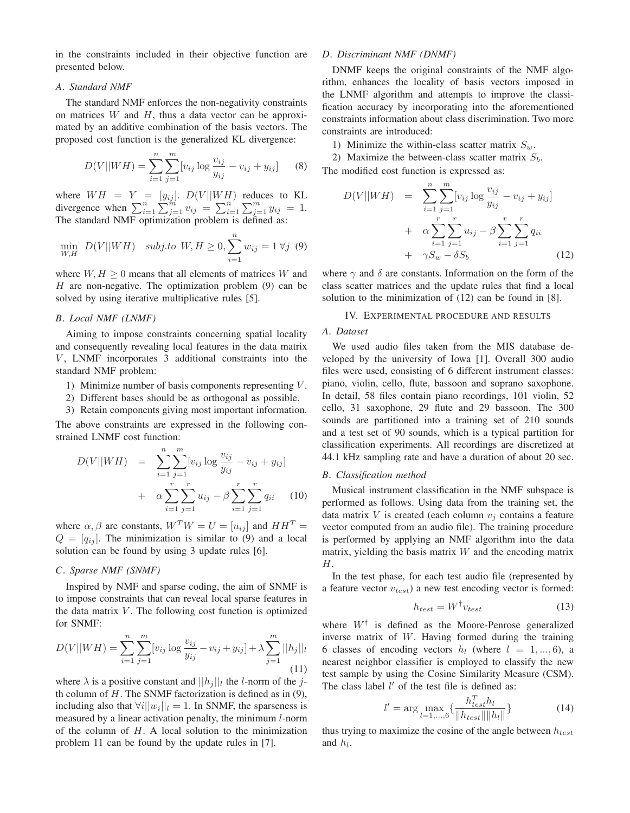in the constraints included in their objective function are presented below.

#### *A. Standard NMF*

The standard NMF enforces the non-negativity constraints on matrices  $W$  and  $H$ , thus a data vector can be approximated by an additive combination of the basis vectors. The proposed cost function is the generalized KL divergence:

$$
D(V||WH) = \sum_{i=1}^{n} \sum_{j=1}^{m} [v_{ij} \log \frac{v_{ij}}{y_{ij}} - v_{ij} + y_{ij}] \qquad (8)
$$

where  $WH = Y = [y_{ij}]$ .  $D(V||WH)$  reduces to KL divergence when  $\sum_{i=1}^{n} \sum_{j=1}^{m} v_{ij} = \sum_{i=1}^{n} \sum_{j=1}^{m} y_{ij} = 1$ .  $\sum_{i=1}^{n} \sum_{j=1}^{m} v_{ij} = \sum_{i=1}^{n} v_{ii}$ divergence when  $\sum_{i=1}^{n} \sum_{j=1}^{m} v_{ij} = \sum_{i=1}^{n'} \sum_{j=1}^{m} y_{ij} = 1$ .<br>The standard NMF optimization problem is defined as:

$$
\min_{W,H} \ D(V||WH) \ \ \text{subj.to} \ W, H \ge 0, \sum_{i=1}^{n} w_{ij} = 1 \ \forall j \ (9)
$$

where  $W, H \geq 0$  means that all elements of matrices W and  $H$  are non-negative. The optimization problem  $(9)$  can be solved by using iterative multiplicative rules [5].

# *B. Local NMF (LNMF)*

Aiming to impose constraints concerning spatial locality and consequently revealing local features in the data matrix  $V$ , LNMF incorporates 3 additional constraints into the standard NMF problem:

- 1) Minimize number of basis components representing  $V$ .
- 2) Different bases should be as orthogonal as possible.
- 3) Retain components giving most important information.

The above constraints are expressed in the following constrained LNMF cost function:

$$
D(V||WH) = \sum_{i=1}^{n} \sum_{j=1}^{m} [v_{ij} \log \frac{v_{ij}}{y_{ij}} - v_{ij} + y_{ij}] + \alpha \sum_{i=1}^{r} \sum_{j=1}^{r} u_{ij} - \beta \sum_{i=1}^{r} \sum_{j=1}^{r} q_{ii}
$$
 (10)

where  $\alpha, \beta$  are constants,  $W^T W = U = [u_{ij}]$  and  $HH^T =$  $Q = [q_{ij}]$ . The minimization is similar to (9) and a local solution can be found by using 3 update rules [6].

## *C. Sparse NMF (SNMF)*

Inspired by NMF and sparse coding, the aim of SNMF is to impose constraints that can reveal local sparse features in the data matrix  $V$ . The following cost function is optimized for SNMF:

$$
D(V||WH) = \sum_{i=1}^{n} \sum_{j=1}^{m} [v_{ij} \log \frac{v_{ij}}{y_{ij}} - v_{ij} + y_{ij}] + \lambda \sum_{j=1}^{m} ||h_j||_l
$$
\n(11)

where  $\lambda$  is a positive constant and  $||h_j||_l$  the *l*-norm of the *j*th column of  $H$ . The SNMF factorization is defined as in  $(9)$ , including also that  $\forall i||w_i||_l = 1$ . In SNMF, the sparseness is measured by a linear activation penalty, the minimum l-norm of the column of  $H$ . A local solution to the minimization problem 11 can be found by the update rules in [7].

# *D. Discriminant NMF (DNMF)*

DNMF keeps the original constraints of the NMF algorithm, enhances the locality of basis vectors imposed in the LNMF algorithm and attempts to improve the classification accuracy by incorporating into the aforementioned constraints information about class discrimination. Two more constraints are introduced:

1) Minimize the within-class scatter matrix  $S_w$ .

2) Maximize the between-class scatter matrix  $S<sub>b</sub>$ . The modified cost function is expressed as:

$$
D(V||WH) = \sum_{i=1}^{n} \sum_{j=1}^{m} [v_{ij} \log \frac{v_{ij}}{y_{ij}} - v_{ij} + y_{ij}] + \alpha \sum_{i=1}^{r} \sum_{j=1}^{r} u_{ij} - \beta \sum_{i=1}^{r} \sum_{j=1}^{r} q_{ii} + \gamma S_w - \delta S_b
$$
 (12)

where  $\gamma$  and  $\delta$  are constants. Information on the form of the class scatter matrices and the update rules that find a local solution to the minimization of (12) can be found in [8].

#### IV. EXPERIMENTAL PROCEDURE AND RESULTS

# *A. Dataset*

We used audio files taken from the MIS database developed by the university of Iowa [1]. Overall 300 audio files were used, consisting of 6 different instrument classes: piano, violin, cello, flute, bassoon and soprano saxophone. In detail, 58 files contain piano recordings, 101 violin, 52 cello, 31 saxophone, 29 flute and 29 bassoon. The 300 sounds are partitioned into a training set of 210 sounds and a test set of 90 sounds, which is a typical partition for classification experiments. All recordings are discretized at 44.1 kHz sampling rate and have a duration of about 20 sec.

#### *B. Classification method*

Musical instrument classification in the NMF subspace is performed as follows. Using data from the training set, the data matrix  $V$  is created (each column  $v_j$  contains a feature vector computed from an audio file). The training procedure is performed by applying an NMF algorithm into the data matrix, yielding the basis matrix  $W$  and the encoding matrix H.

In the test phase, for each test audio file (represented by a feature vector v*test*) a new test encoding vector is formed:

$$
h_{test} = W^{\dagger} v_{test} \tag{13}
$$

where  $W^{\dagger}$  is defined as the Moore-Penrose generalized inverse matrix of W. Having formed during the training 6 classes of encoding vectors  $h_l$  (where  $l = 1, ..., 6$ ), a nearest neighbor classifier is employed to classify the new test sample by using the Cosine Similarity Measure (CSM). The class label  $l'$  of the test file is defined as:

$$
l' = \arg \max_{l=1,...,6} \left\{ \frac{h_{test}^T h_l}{\|h_{test}\| \|h_l\|} \right\}
$$
(14)

thus trying to maximize the cosine of the angle between  $h_{test}$ <br>and  $h_t$ and  $h_l$ .